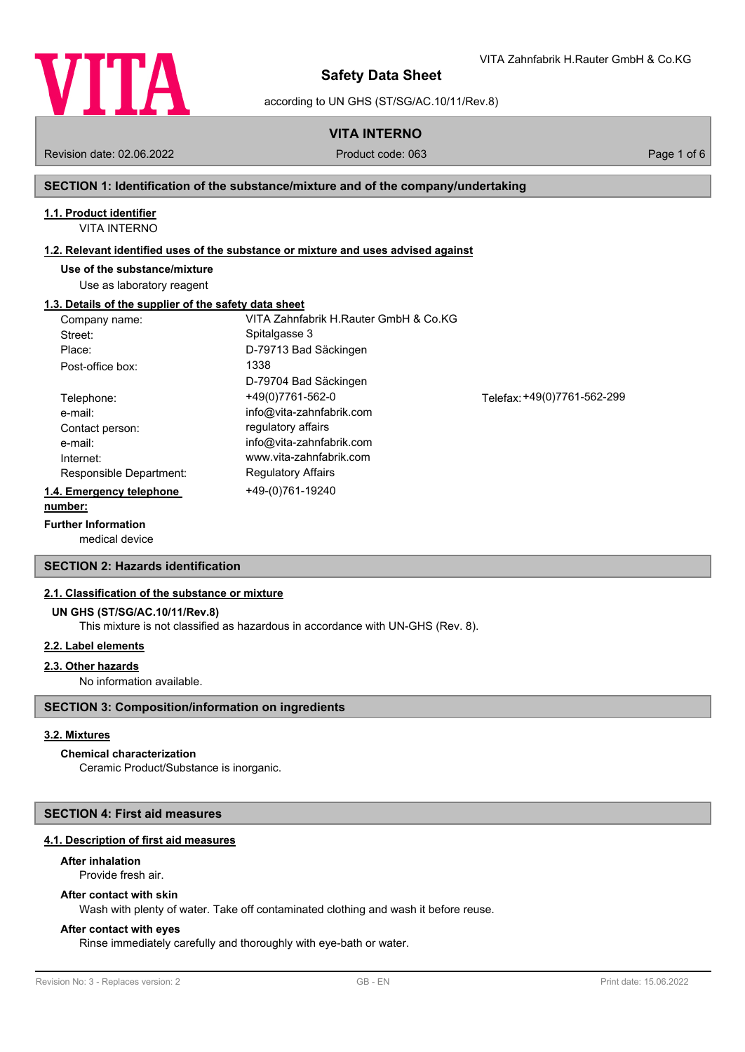

according to UN GHS (ST/SG/AC.10/11/Rev.8)

**VITA INTERNO**

Revision date: 02.06.2022 Product code: 063 Page 1 of 6

VITA Zahnfabrik H.Rauter GmbH & Co.KG

#### **SECTION 1: Identification of the substance/mixture and of the company/undertaking**

### **1.1. Product identifier**

VITA INTERNO

#### **1.2. Relevant identified uses of the substance or mixture and uses advised against**

#### **Use of the substance/mixture**

Use as laboratory reagent

#### **1.3. Details of the supplier of the safety data sheet**

| Company name:            | VITA Zahnfabrik H.Rauter GmbH & Co.KG |                             |
|--------------------------|---------------------------------------|-----------------------------|
| Street:                  | Spitalgasse 3                         |                             |
| Place:                   | D-79713 Bad Säckingen                 |                             |
| Post-office box:         | 1338                                  |                             |
|                          | D-79704 Bad Säckingen                 |                             |
| Telephone:               | +49(0)7761-562-0                      | Telefax: +49(0)7761-562-299 |
| e-mail:                  | info@vita-zahnfabrik.com              |                             |
| Contact person:          | regulatory affairs                    |                             |
| e-mail:                  | info@vita-zahnfabrik.com              |                             |
| Internet:                | www.vita-zahnfabrik.com               |                             |
| Responsible Department:  | <b>Regulatory Affairs</b>             |                             |
| 1.4. Emergency telephone | +49-(0)761-19240                      |                             |
| number:                  |                                       |                             |

#### **Further Information**

medical device

### **SECTION 2: Hazards identification**

#### **2.1. Classification of the substance or mixture**

#### **UN GHS (ST/SG/AC.10/11/Rev.8)**

This mixture is not classified as hazardous in accordance with UN-GHS (Rev. 8).

### **2.2. Label elements**

#### **2.3. Other hazards**

No information available.

### **SECTION 3: Composition/information on ingredients**

#### **3.2. Mixtures**

### **Chemical characterization**

Ceramic Product/Substance is inorganic.

### **SECTION 4: First aid measures**

### **4.1. Description of first aid measures**

### **After inhalation**

Provide fresh air.

### **After contact with skin**

Wash with plenty of water. Take off contaminated clothing and wash it before reuse.

### **After contact with eyes**

Rinse immediately carefully and thoroughly with eye-bath or water.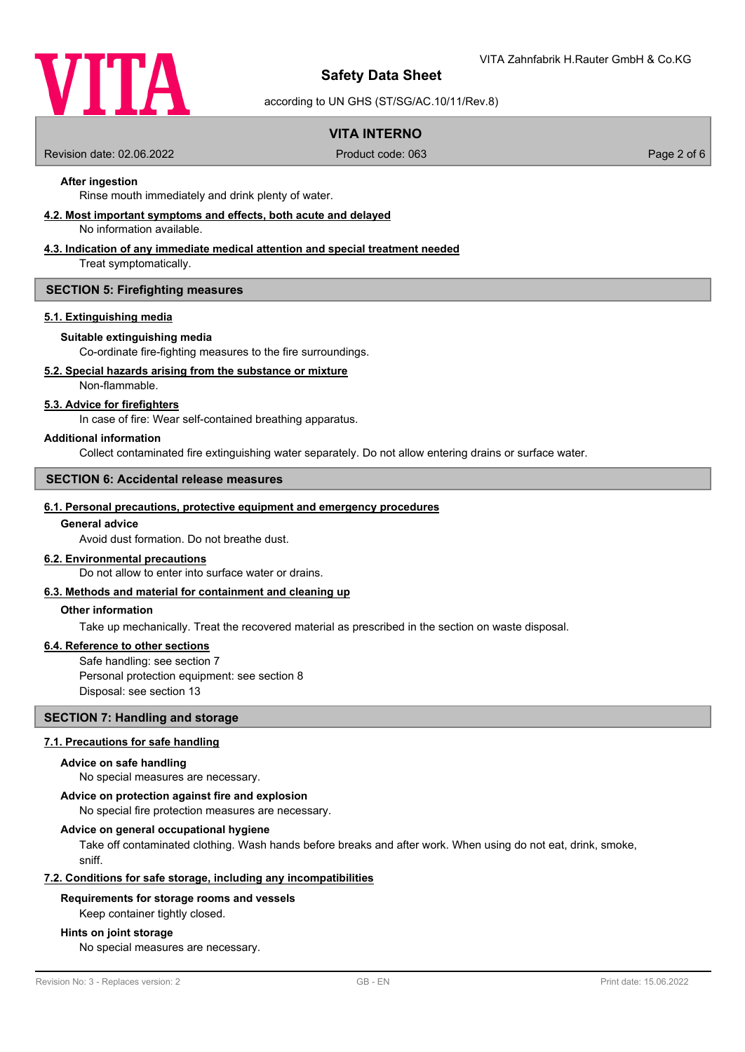

according to UN GHS (ST/SG/AC.10/11/Rev.8)

### **VITA INTERNO**

Revision date: 02.06.2022 Product code: 063 Page 2 of 6

### **After ingestion**

Rinse mouth immediately and drink plenty of water.

#### **4.2. Most important symptoms and effects, both acute and delayed**

No information available.

### **4.3. Indication of any immediate medical attention and special treatment needed**

Treat symptomatically.

#### **SECTION 5: Firefighting measures**

#### **5.1. Extinguishing media**

#### **Suitable extinguishing media**

Co-ordinate fire-fighting measures to the fire surroundings.

### **5.2. Special hazards arising from the substance or mixture**

Non-flammable.

### **5.3. Advice for firefighters**

In case of fire: Wear self-contained breathing apparatus.

#### **Additional information**

Collect contaminated fire extinguishing water separately. Do not allow entering drains or surface water.

### **SECTION 6: Accidental release measures**

#### **6.1. Personal precautions, protective equipment and emergency procedures**

#### **General advice**

Avoid dust formation. Do not breathe dust.

#### **6.2. Environmental precautions**

Do not allow to enter into surface water or drains.

#### **6.3. Methods and material for containment and cleaning up**

#### **Other information**

Take up mechanically. Treat the recovered material as prescribed in the section on waste disposal.

#### **6.4. Reference to other sections**

Safe handling: see section 7 Personal protection equipment: see section 8 Disposal: see section 13

#### **SECTION 7: Handling and storage**

## **7.1. Precautions for safe handling**

#### **Advice on safe handling**

No special measures are necessary.

#### **Advice on protection against fire and explosion**

No special fire protection measures are necessary.

#### **Advice on general occupational hygiene**

Take off contaminated clothing. Wash hands before breaks and after work. When using do not eat, drink, smoke, sniff.

#### **7.2. Conditions for safe storage, including any incompatibilities**

#### **Requirements for storage rooms and vessels**

Keep container tightly closed.

#### **Hints on joint storage**

No special measures are necessary.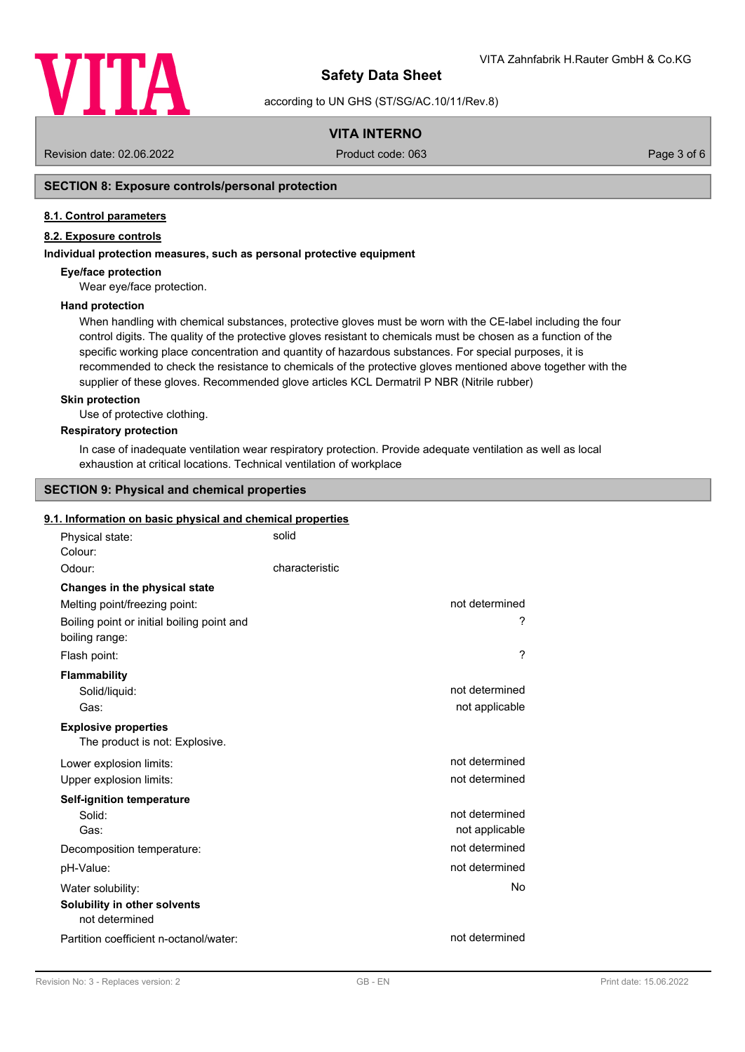

according to UN GHS (ST/SG/AC.10/11/Rev.8)

### **VITA INTERNO**

Revision date: 02.06.2022 Product code: 063 Page 3 of 6

### **SECTION 8: Exposure controls/personal protection**

#### **8.1. Control parameters**

### **8.2. Exposure controls**

#### **Individual protection measures, such as personal protective equipment**

#### **Eye/face protection**

Wear eye/face protection.

#### **Hand protection**

When handling with chemical substances, protective gloves must be worn with the CE-label including the four control digits. The quality of the protective gloves resistant to chemicals must be chosen as a function of the specific working place concentration and quantity of hazardous substances. For special purposes, it is recommended to check the resistance to chemicals of the protective gloves mentioned above together with the supplier of these gloves. Recommended glove articles KCL Dermatril P NBR (Nitrile rubber)

#### **Skin protection**

Use of protective clothing.

#### **Respiratory protection**

In case of inadequate ventilation wear respiratory protection. Provide adequate ventilation as well as local exhaustion at critical locations. Technical ventilation of workplace

#### **SECTION 9: Physical and chemical properties**

#### **9.1. Information on basic physical and chemical properties**

| Physical state:<br>Colour:                                    | solid          |                |
|---------------------------------------------------------------|----------------|----------------|
| Odour:                                                        | characteristic |                |
| Changes in the physical state                                 |                |                |
| Melting point/freezing point:                                 |                | not determined |
| Boiling point or initial boiling point and<br>boiling range:  |                | ?              |
| Flash point:                                                  |                | ?              |
| <b>Flammability</b>                                           |                |                |
| Solid/liquid:                                                 |                | not determined |
| Gas:                                                          |                | not applicable |
| <b>Explosive properties</b><br>The product is not: Explosive. |                |                |
| Lower explosion limits:                                       |                | not determined |
| Upper explosion limits:                                       |                | not determined |
| <b>Self-ignition temperature</b>                              |                |                |
| Solid:                                                        |                | not determined |
| Gas:                                                          |                | not applicable |
| Decomposition temperature:                                    |                | not determined |
| pH-Value:                                                     |                | not determined |
| Water solubility:                                             |                | No             |
| Solubility in other solvents<br>not determined                |                |                |
| Partition coefficient n-octanol/water:                        |                | not determined |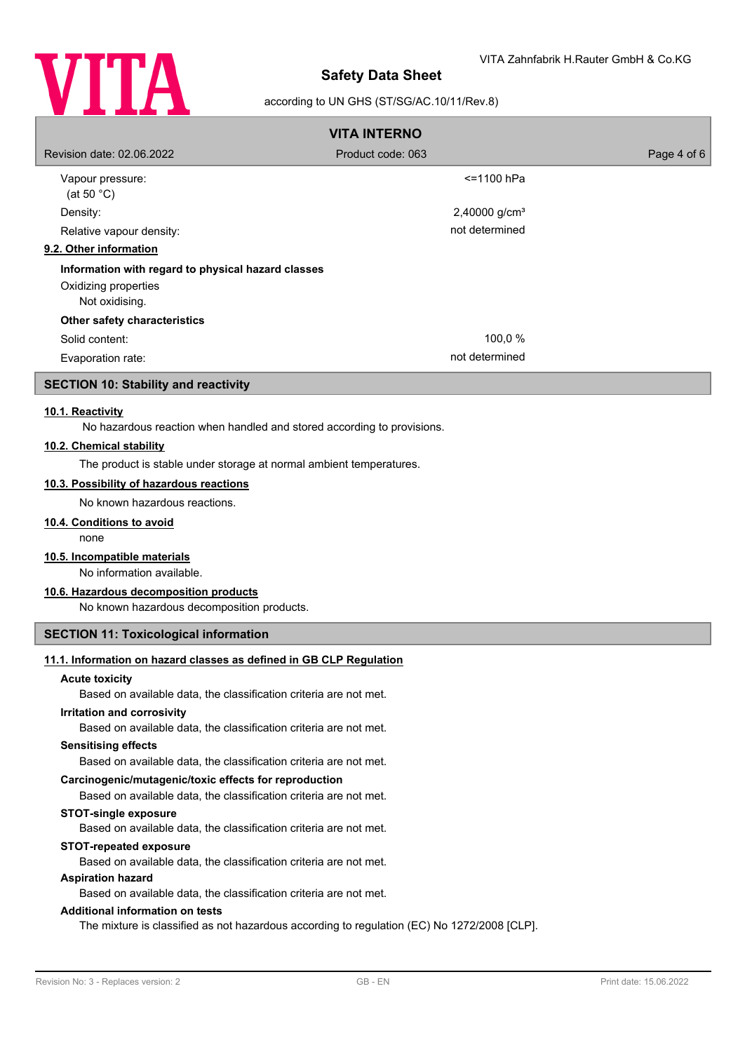

#### according to UN GHS (ST/SG/AC.10/11/Rev.8)

| <b>VITA INTERNO</b>                                |                           |             |  |  |
|----------------------------------------------------|---------------------------|-------------|--|--|
| Revision date: 02.06.2022                          | Product code: 063         | Page 4 of 6 |  |  |
| Vapour pressure:<br>(at 50 $^{\circ}$ C)           | $<$ =1100 hPa             |             |  |  |
| Density:                                           | 2,40000 g/cm <sup>3</sup> |             |  |  |
| Relative vapour density:                           | not determined            |             |  |  |
| 9.2. Other information                             |                           |             |  |  |
| Information with regard to physical hazard classes |                           |             |  |  |
| Oxidizing properties<br>Not oxidising.             |                           |             |  |  |
| Other safety characteristics                       |                           |             |  |  |
| Solid content:                                     | 100,0 %                   |             |  |  |
| Evaporation rate:                                  | not determined            |             |  |  |

# **SECTION 10: Stability and reactivity**

#### **10.1. Reactivity**

No hazardous reaction when handled and stored according to provisions.

### **10.2. Chemical stability**

The product is stable under storage at normal ambient temperatures.

#### **10.3. Possibility of hazardous reactions**

No known hazardous reactions.

## **10.4. Conditions to avoid**

none

### **10.5. Incompatible materials**

No information available.

### **10.6. Hazardous decomposition products**

No known hazardous decomposition products.

### **SECTION 11: Toxicological information**

### **11.1. Information on hazard classes as defined in GB CLP Regulation**

#### **Acute toxicity**

Based on available data, the classification criteria are not met.

#### **Irritation and corrosivity**

Based on available data, the classification criteria are not met.

#### **Sensitising effects**

Based on available data, the classification criteria are not met.

### **Carcinogenic/mutagenic/toxic effects for reproduction**

Based on available data, the classification criteria are not met.

#### **STOT-single exposure**

Based on available data, the classification criteria are not met.

#### **STOT-repeated exposure**

Based on available data, the classification criteria are not met.

#### **Aspiration hazard**

Based on available data, the classification criteria are not met.

### **Additional information on tests**

The mixture is classified as not hazardous according to regulation (EC) No 1272/2008 [CLP].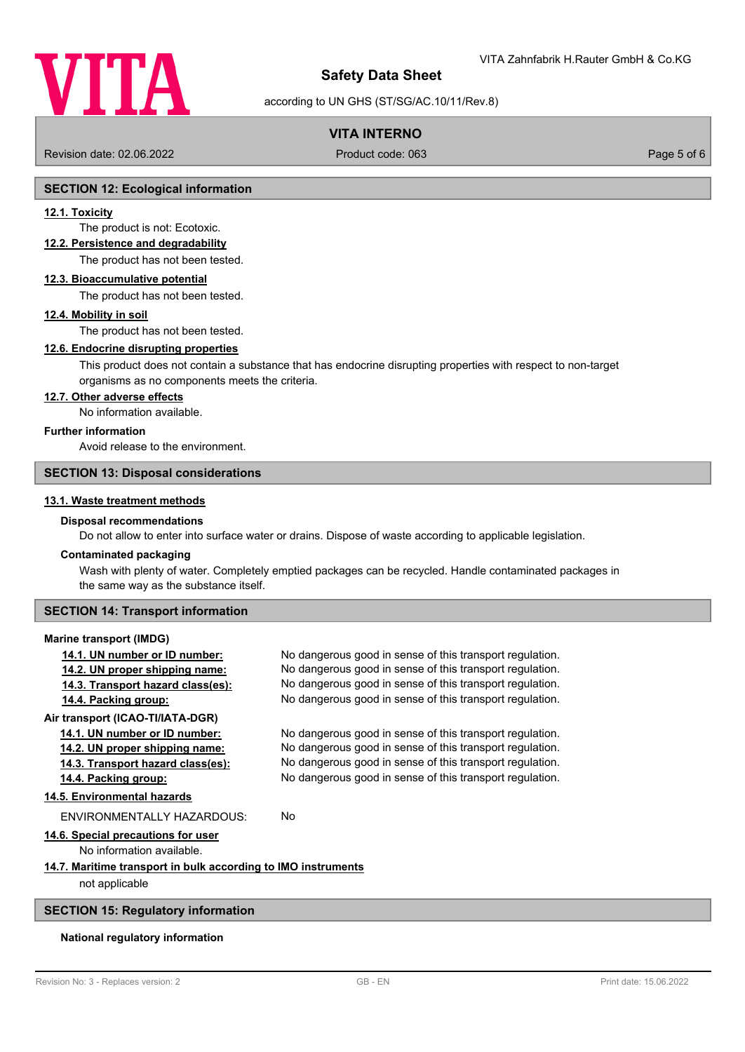

### according to UN GHS (ST/SG/AC.10/11/Rev.8)

### **VITA INTERNO**

Revision date: 02.06.2022 Product code: 063 Page 5 of 6

#### **SECTION 12: Ecological information**

#### **12.1. Toxicity**

The product is not: Ecotoxic.

#### **12.2. Persistence and degradability**

The product has not been tested.

#### **12.3. Bioaccumulative potential**

The product has not been tested.

#### **12.4. Mobility in soil**

The product has not been tested.

### **12.6. Endocrine disrupting properties**

This product does not contain a substance that has endocrine disrupting properties with respect to non-target organisms as no components meets the criteria.

#### **12.7. Other adverse effects**

No information available.

#### **Further information**

### Avoid release to the environment.

#### **SECTION 13: Disposal considerations**

#### **13.1. Waste treatment methods**

# **Disposal recommendations**

Do not allow to enter into surface water or drains. Dispose of waste according to applicable legislation.

#### **Contaminated packaging**

Wash with plenty of water. Completely emptied packages can be recycled. Handle contaminated packages in the same way as the substance itself.

### **SECTION 14: Transport information**

#### **Marine transport (IMDG)**

| 14.1. UN number or ID number:                                 | No dangerous good in sense of this transport regulation. |  |
|---------------------------------------------------------------|----------------------------------------------------------|--|
| 14.2. UN proper shipping name:                                | No dangerous good in sense of this transport regulation. |  |
| 14.3. Transport hazard class(es):                             | No dangerous good in sense of this transport regulation. |  |
| 14.4. Packing group:                                          | No dangerous good in sense of this transport regulation. |  |
| Air transport (ICAO-TI/IATA-DGR)                              |                                                          |  |
| 14.1. UN number or ID number:                                 | No dangerous good in sense of this transport regulation. |  |
| 14.2. UN proper shipping name:                                | No dangerous good in sense of this transport regulation. |  |
| 14.3. Transport hazard class(es):                             | No dangerous good in sense of this transport regulation. |  |
| 14.4. Packing group:                                          | No dangerous good in sense of this transport regulation. |  |
| 14.5. Environmental hazards                                   |                                                          |  |
| ENVIRONMENTALLY HAZARDOUS:                                    | No                                                       |  |
| 14.6. Special precautions for user                            |                                                          |  |
| No information available.                                     |                                                          |  |
| 14.7. Maritime transport in bulk according to IMO instruments |                                                          |  |
| not applicable                                                |                                                          |  |
|                                                               |                                                          |  |

### **SECTION 15: Regulatory information**

#### **National regulatory information**